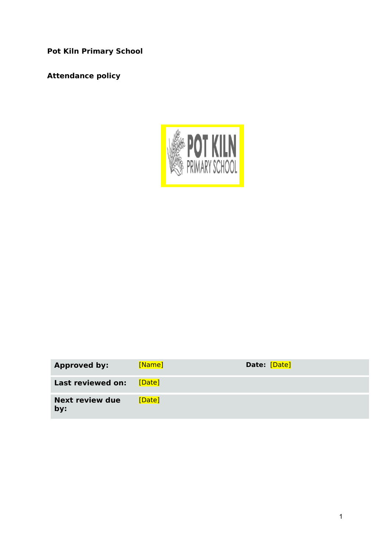**Pot Kiln Primary School**

**Attendance policy**



| <b>Approved by:</b>           | [Name] | Date: [Date] |
|-------------------------------|--------|--------------|
| Last reviewed on:             | [Date] |              |
| <b>Next review due</b><br>by: | [Date] |              |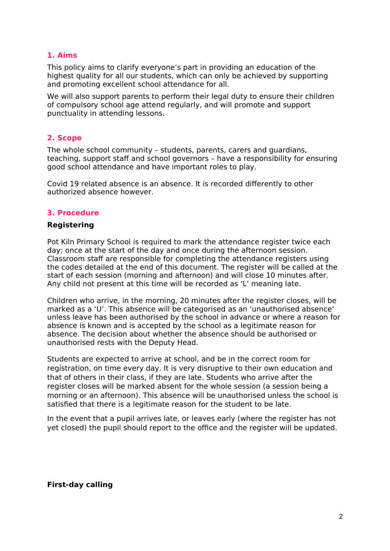## **1. Aims**

This policy aims to clarify everyone's part in providing an education of the highest quality for all our students, which can only be achieved by supporting and promoting excellent school attendance for all.

We will also support parents to perform their legal duty to ensure their children of compulsory school age attend regularly, and will promote and support punctuality in attending lessons.

## **2. Scope**

The whole school community – students, parents, carers and guardians, teaching, support staff and school governors – have a responsibility for ensuring good school attendance and have important roles to play.

Covid 19 related absence is an absence. It is recorded differently to other authorized absence however.

### **3. Procedure**

#### **Registering**

Pot Kiln Primary School is required to mark the attendance register twice each day; once at the start of the day and once during the afternoon session. Classroom staff are responsible for completing the attendance registers using the codes detailed at the end of this document. The register will be called at the start of each session (morning and afternoon) and will close 10 minutes after. Any child not present at this time will be recorded as 'L' meaning late.

Children who arrive, in the morning, 20 minutes after the register closes, will be marked as a 'U'. This absence will be categorised as an 'unauthorised absence' unless leave has been authorised by the school in advance or where a reason for absence is known and is accepted by the school as a legitimate reason for absence. The decision about whether the absence should be authorised or unauthorised rests with the Deputy Head.

Students are expected to arrive at school, and be in the correct room for registration, on time every day. It is very disruptive to their own education and that of others in their class, if they are late. Students who arrive after the register closes will be marked absent for the whole session (a session being a morning or an afternoon). This absence will be unauthorised unless the school is satisfied that there is a legitimate reason for the student to be late.

In the event that a pupil arrives late, or leaves early (where the register has not yet closed) the pupil should report to the office and the register will be updated.

### **First-day calling**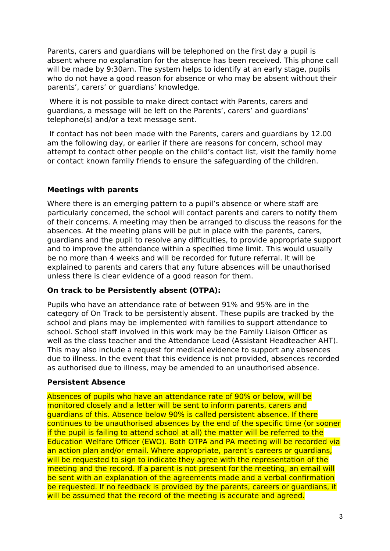Parents, carers and guardians will be telephoned on the first day a pupil is absent where no explanation for the absence has been received. This phone call will be made by 9:30am. The system helps to identify at an early stage, pupils who do not have a good reason for absence or who may be absent without their parents', carers' or guardians' knowledge.

 Where it is not possible to make direct contact with Parents, carers and guardians, a message will be left on the Parents', carers' and guardians' telephone(s) and/or a text message sent.

 If contact has not been made with the Parents, carers and guardians by 12.00 am the following day, or earlier if there are reasons for concern, school may attempt to contact other people on the child's contact list, visit the family home or contact known family friends to ensure the safeguarding of the children.

## **Meetings with parents**

Where there is an emerging pattern to a pupil's absence or where staff are particularly concerned, the school will contact parents and carers to notify them of their concerns. A meeting may then be arranged to discuss the reasons for the absences. At the meeting plans will be put in place with the parents, carers, guardians and the pupil to resolve any difficulties, to provide appropriate support and to improve the attendance within a specified time limit. This would usually be no more than 4 weeks and will be recorded for future referral. It will be explained to parents and carers that any future absences will be unauthorised unless there is clear evidence of a good reason for them.

### **On track to be Persistently absent (OTPA):**

Pupils who have an attendance rate of between 91% and 95% are in the category of On Track to be persistently absent. These pupils are tracked by the school and plans may be implemented with families to support attendance to school. School staff involved in this work may be the Family Liaison Officer as well as the class teacher and the Attendance Lead (Assistant Headteacher AHT). This may also include a request for medical evidence to support any absences due to illness. In the event that this evidence is not provided, absences recorded as authorised due to illness, may be amended to an unauthorised absence.

### **Persistent Absence**

Absences of pupils who have an attendance rate of 90% or below, will be monitored closely and a letter will be sent to inform parents, carers and guardians of this. Absence below 90% is called persistent absence. If there continues to be unauthorised absences by the end of the specific time (or sooner if the pupil is failing to attend school at all) the matter will be referred to the Education Welfare Officer (EWO). Both OTPA and PA meeting will be recorded via an action plan and/or email. Where appropriate, parent's careers or guardians, will be requested to sign to indicate they agree with the representation of the meeting and the record. If a parent is not present for the meeting, an email will be sent with an explanation of the agreements made and a verbal confirmation be requested. If no feedback is provided by the parents, careers or guardians, it will be assumed that the record of the meeting is accurate and agreed.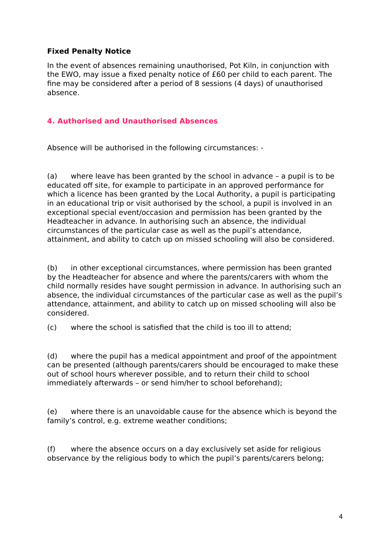## **Fixed Penalty Notice**

In the event of absences remaining unauthorised, Pot Kiln, in conjunction with the EWO, may issue a fixed penalty notice of £60 per child to each parent. The fine may be considered after a period of 8 sessions (4 days) of unauthorised absence.

# **4. Authorised and Unauthorised Absences**

Absence will be authorised in the following circumstances: -

(a) where leave has been granted by the school in advance – a pupil is to be educated off site, for example to participate in an approved performance for which a licence has been granted by the Local Authority, a pupil is participating in an educational trip or visit authorised by the school, a pupil is involved in an exceptional special event/occasion and permission has been granted by the Headteacher in advance. In authorising such an absence, the individual circumstances of the particular case as well as the pupil's attendance, attainment, and ability to catch up on missed schooling will also be considered.

(b) in other exceptional circumstances, where permission has been granted by the Headteacher for absence and where the parents/carers with whom the child normally resides have sought permission in advance. In authorising such an absence, the individual circumstances of the particular case as well as the pupil's attendance, attainment, and ability to catch up on missed schooling will also be considered.

(c) where the school is satisfied that the child is too ill to attend;

(d) where the pupil has a medical appointment and proof of the appointment can be presented (although parents/carers should be encouraged to make these out of school hours wherever possible, and to return their child to school immediately afterwards – or send him/her to school beforehand);

(e) where there is an unavoidable cause for the absence which is beyond the family's control, e.g. extreme weather conditions;

(f) where the absence occurs on a day exclusively set aside for religious observance by the religious body to which the pupil's parents/carers belong;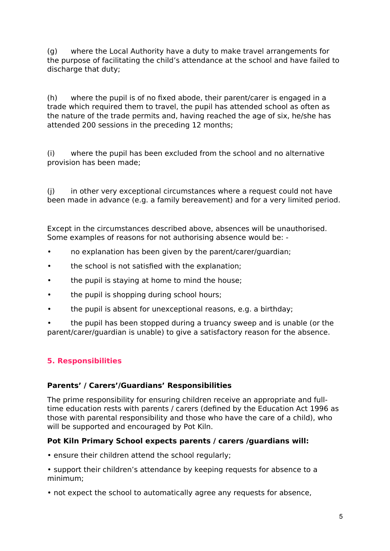(g) where the Local Authority have a duty to make travel arrangements for the purpose of facilitating the child's attendance at the school and have failed to discharge that duty:

(h) where the pupil is of no fixed abode, their parent/carer is engaged in a trade which required them to travel, the pupil has attended school as often as the nature of the trade permits and, having reached the age of six, he/she has attended 200 sessions in the preceding 12 months;

(i) where the pupil has been excluded from the school and no alternative provision has been made;

(j) in other very exceptional circumstances where a request could not have been made in advance (e.g. a family bereavement) and for a very limited period.

Except in the circumstances described above, absences will be unauthorised. Some examples of reasons for not authorising absence would be: -

- no explanation has been given by the parent/carer/guardian;
- the school is not satisfied with the explanation;
- the pupil is staying at home to mind the house;
- the pupil is shopping during school hours;
- the pupil is absent for unexceptional reasons, e.g. a birthday;

• the pupil has been stopped during a truancy sweep and is unable (or the parent/carer/guardian is unable) to give a satisfactory reason for the absence.

# **5. Responsibilities**

### **Parents' / Carers'/Guardians' Responsibilities**

The prime responsibility for ensuring children receive an appropriate and fulltime education rests with parents / carers (defined by the Education Act 1996 as those with parental responsibility and those who have the care of a child), who will be supported and encouraged by Pot Kiln.

### **Pot Kiln Primary School expects parents / carers /guardians will:**

- ensure their children attend the school regularly;
- support their children's attendance by keeping requests for absence to a minimum;
- not expect the school to automatically agree any requests for absence,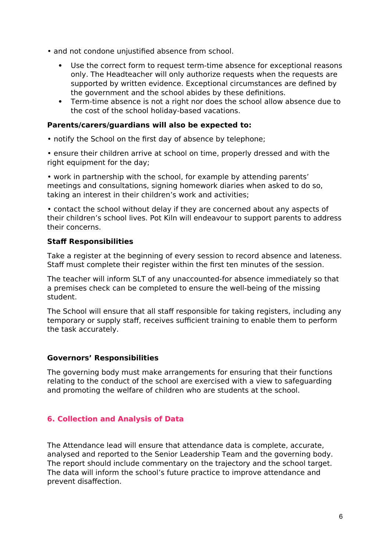- and not condone unjustified absence from school.
	- Use the correct form to request term-time absence for exceptional reasons only. The Headteacher will only authorize requests when the requests are supported by written evidence. Exceptional circumstances are defined by the government and the school abides by these definitions.
	- Term-time absence is not a right nor does the school allow absence due to the cost of the school holiday-based vacations.

#### **Parents/carers/guardians will also be expected to:**

• notify the School on the first day of absence by telephone;

• ensure their children arrive at school on time, properly dressed and with the right equipment for the day;

• work in partnership with the school, for example by attending parents' meetings and consultations, signing homework diaries when asked to do so, taking an interest in their children's work and activities;

• contact the school without delay if they are concerned about any aspects of their children's school lives. Pot Kiln will endeavour to support parents to address their concerns.

### **Staff Responsibilities**

Take a register at the beginning of every session to record absence and lateness. Staff must complete their register within the first ten minutes of the session.

The teacher will inform SLT of any unaccounted-for absence immediately so that a premises check can be completed to ensure the well-being of the missing student.

The School will ensure that all staff responsible for taking registers, including any temporary or supply staff, receives sufficient training to enable them to perform the task accurately.

### **Governors' Responsibilities**

The governing body must make arrangements for ensuring that their functions relating to the conduct of the school are exercised with a view to safeguarding and promoting the welfare of children who are students at the school.

# **6. Collection and Analysis of Data**

The Attendance lead will ensure that attendance data is complete, accurate, analysed and reported to the Senior Leadership Team and the governing body. The report should include commentary on the trajectory and the school target. The data will inform the school's future practice to improve attendance and prevent disaffection.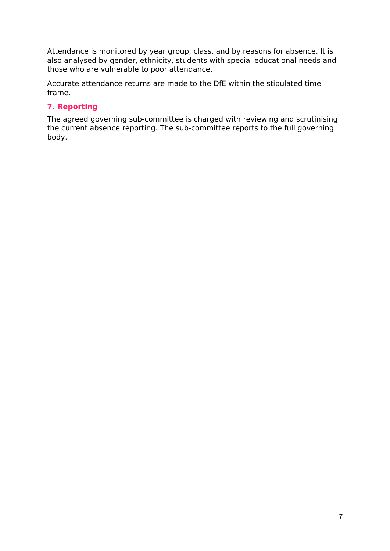Attendance is monitored by year group, class, and by reasons for absence. It is also analysed by gender, ethnicity, students with special educational needs and those who are vulnerable to poor attendance.

Accurate attendance returns are made to the DfE within the stipulated time frame.

# **7. Reporting**

The agreed governing sub-committee is charged with reviewing and scrutinising the current absence reporting. The sub-committee reports to the full governing body.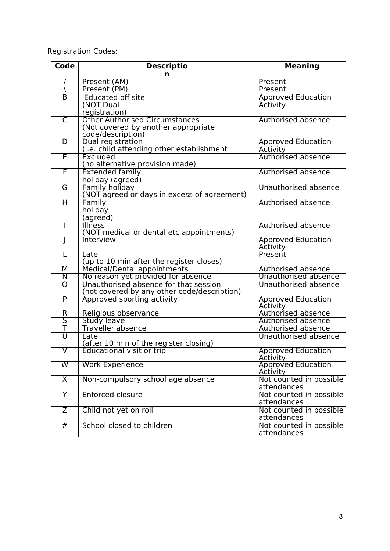Registration Codes:

| <b>Descriptio</b><br><b>Meaning</b><br>n<br>Present (AM)<br>Present<br>Present (PM)<br>Present<br>$\overline{\mathsf{B}}$<br><b>Educated off site</b><br><b>Approved Education</b><br>(NOT Dual<br><b>Activity</b><br>registration)<br><b>Other Authorised Circumstances</b><br>$\overline{\mathsf{C}}$<br>Authorised absence<br>(Not covered by another appropriate<br>code/description)<br>$\overline{D}$<br>Dual registration<br><b>Approved Education</b><br>(i.e. child attending other establishment<br>Activity<br>Έ<br>Authorised absence<br>Excluded<br>(no alternative provision made) |  |
|--------------------------------------------------------------------------------------------------------------------------------------------------------------------------------------------------------------------------------------------------------------------------------------------------------------------------------------------------------------------------------------------------------------------------------------------------------------------------------------------------------------------------------------------------------------------------------------------------|--|
|                                                                                                                                                                                                                                                                                                                                                                                                                                                                                                                                                                                                  |  |
|                                                                                                                                                                                                                                                                                                                                                                                                                                                                                                                                                                                                  |  |
|                                                                                                                                                                                                                                                                                                                                                                                                                                                                                                                                                                                                  |  |
|                                                                                                                                                                                                                                                                                                                                                                                                                                                                                                                                                                                                  |  |
|                                                                                                                                                                                                                                                                                                                                                                                                                                                                                                                                                                                                  |  |
|                                                                                                                                                                                                                                                                                                                                                                                                                                                                                                                                                                                                  |  |
|                                                                                                                                                                                                                                                                                                                                                                                                                                                                                                                                                                                                  |  |
|                                                                                                                                                                                                                                                                                                                                                                                                                                                                                                                                                                                                  |  |
|                                                                                                                                                                                                                                                                                                                                                                                                                                                                                                                                                                                                  |  |
|                                                                                                                                                                                                                                                                                                                                                                                                                                                                                                                                                                                                  |  |
|                                                                                                                                                                                                                                                                                                                                                                                                                                                                                                                                                                                                  |  |
|                                                                                                                                                                                                                                                                                                                                                                                                                                                                                                                                                                                                  |  |
|                                                                                                                                                                                                                                                                                                                                                                                                                                                                                                                                                                                                  |  |
| F<br><b>Extended family</b><br>Authorised absence                                                                                                                                                                                                                                                                                                                                                                                                                                                                                                                                                |  |
| holiday (agreed)                                                                                                                                                                                                                                                                                                                                                                                                                                                                                                                                                                                 |  |
| $\overline{\mathsf{G}}$<br>Family holiday<br>Unauthorised absence                                                                                                                                                                                                                                                                                                                                                                                                                                                                                                                                |  |
| (NOT agreed or days in excess of agreement)                                                                                                                                                                                                                                                                                                                                                                                                                                                                                                                                                      |  |
| $\overline{\mathsf{H}}$<br>Authorised absence<br>Family                                                                                                                                                                                                                                                                                                                                                                                                                                                                                                                                          |  |
| holiday                                                                                                                                                                                                                                                                                                                                                                                                                                                                                                                                                                                          |  |
| (agreed)                                                                                                                                                                                                                                                                                                                                                                                                                                                                                                                                                                                         |  |
| <b>Illness</b><br><b>Authorised absence</b><br>J.                                                                                                                                                                                                                                                                                                                                                                                                                                                                                                                                                |  |
| (NOT medical or dental etc appointments)                                                                                                                                                                                                                                                                                                                                                                                                                                                                                                                                                         |  |
| <b>Interview</b><br><b>Approved Education</b>                                                                                                                                                                                                                                                                                                                                                                                                                                                                                                                                                    |  |
| Activity                                                                                                                                                                                                                                                                                                                                                                                                                                                                                                                                                                                         |  |
| Present<br>Late<br>L                                                                                                                                                                                                                                                                                                                                                                                                                                                                                                                                                                             |  |
| (up to 10 min after the register closes)                                                                                                                                                                                                                                                                                                                                                                                                                                                                                                                                                         |  |
| Medical/Dental appointments<br>M<br><b>Authorised absence</b>                                                                                                                                                                                                                                                                                                                                                                                                                                                                                                                                    |  |
| No reason yet provided for absence<br>Unauthorised absence<br>$\overline{\mathsf{N}}$                                                                                                                                                                                                                                                                                                                                                                                                                                                                                                            |  |
| Unauthorised absence for that session<br>$\overline{\rm o}$<br>Unauthorised absence                                                                                                                                                                                                                                                                                                                                                                                                                                                                                                              |  |
| (not covered by any other code/description)                                                                                                                                                                                                                                                                                                                                                                                                                                                                                                                                                      |  |
| $\overline{\mathsf{P}}$<br>Approved sporting activity<br><b>Approved Education</b>                                                                                                                                                                                                                                                                                                                                                                                                                                                                                                               |  |
| Activity<br>Authorised absence<br>$\overline{\mathsf{R}}$                                                                                                                                                                                                                                                                                                                                                                                                                                                                                                                                        |  |
| Religious observance<br>$\overline{\mathsf{S}}$<br><b>Study leave</b><br>Authorised absence                                                                                                                                                                                                                                                                                                                                                                                                                                                                                                      |  |
| Traveller absence<br>Т<br><b>Authorised absence</b>                                                                                                                                                                                                                                                                                                                                                                                                                                                                                                                                              |  |
| $\overline{\mathtt{U}}$<br>Unauthorised absence<br>Late                                                                                                                                                                                                                                                                                                                                                                                                                                                                                                                                          |  |
| (after 10 min of the register closing)                                                                                                                                                                                                                                                                                                                                                                                                                                                                                                                                                           |  |
| v<br>Educational visit or trip                                                                                                                                                                                                                                                                                                                                                                                                                                                                                                                                                                   |  |
| Approved Education<br>Activity                                                                                                                                                                                                                                                                                                                                                                                                                                                                                                                                                                   |  |
| <b>Approved Education</b><br>$\overline{\mathsf{W}}$<br><b>Work Experience</b>                                                                                                                                                                                                                                                                                                                                                                                                                                                                                                                   |  |
| Activity                                                                                                                                                                                                                                                                                                                                                                                                                                                                                                                                                                                         |  |
| $\overline{\mathsf{x}}$<br>Non-compulsory school age absence<br>Not counted in possible                                                                                                                                                                                                                                                                                                                                                                                                                                                                                                          |  |
| attendances                                                                                                                                                                                                                                                                                                                                                                                                                                                                                                                                                                                      |  |
| $\overline{\mathsf{Y}}$<br><b>Enforced closure</b><br>Not counted in possible                                                                                                                                                                                                                                                                                                                                                                                                                                                                                                                    |  |
| attendances                                                                                                                                                                                                                                                                                                                                                                                                                                                                                                                                                                                      |  |
| Not counted in possible<br>$\overline{Z}$<br>Child not yet on roll                                                                                                                                                                                                                                                                                                                                                                                                                                                                                                                               |  |
| attendances                                                                                                                                                                                                                                                                                                                                                                                                                                                                                                                                                                                      |  |
| School closed to children<br>#<br>Not counted in possible                                                                                                                                                                                                                                                                                                                                                                                                                                                                                                                                        |  |
| attendances                                                                                                                                                                                                                                                                                                                                                                                                                                                                                                                                                                                      |  |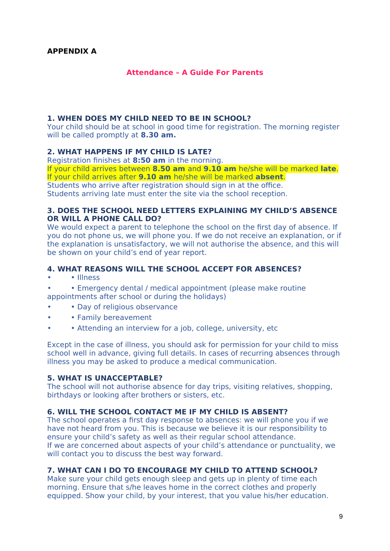#### **Attendance – A Guide For Parents**

#### **1. WHEN DOES MY CHILD NEED TO BE IN SCHOOL?**

Your child should be at school in good time for registration. The morning register will be called promptly at **8.30 am.**

#### **2. WHAT HAPPENS IF MY CHILD IS LATE?**

Registration finishes at **8:50 am** in the morning.

If your child arrives between **8.50 am** and **9.10 am** he/she will be marked **late**. If your child arrives after **9.10 am** he/she will be marked **absent**.

Students who arrive after registration should sign in at the office.

Students arriving late must enter the site via the school reception.

#### **3. DOES THE SCHOOL NEED LETTERS EXPLAINING MY CHILD'S ABSENCE OR WILL A PHONE CALL DO?**

We would expect a parent to telephone the school on the first day of absence. If you do not phone us, we will phone you. If we do not receive an explanation, or if the explanation is unsatisfactory, we will not authorise the absence, and this will be shown on your child's end of year report.

#### **4. WHAT REASONS WILL THE SCHOOL ACCEPT FOR ABSENCES?**

- • Illness
- • Emergency dental / medical appointment (please make routine appointments after school or during the holidays)
- • Day of religious observance
- • Family bereavement
- • Attending an interview for a job, college, university, etc

Except in the case of illness, you should ask for permission for your child to miss school well in advance, giving full details. In cases of recurring absences through illness you may be asked to produce a medical communication.

#### **5. WHAT IS UNACCEPTABLE?**

The school will not authorise absence for day trips, visiting relatives, shopping, birthdays or looking after brothers or sisters, etc.

#### **6. WILL THE SCHOOL CONTACT ME IF MY CHILD IS ABSENT?**

The school operates a first day response to absences: we will phone you if we have not heard from you. This is because we believe it is our responsibility to ensure your child's safety as well as their regular school attendance. If we are concerned about aspects of your child's attendance or punctuality, we will contact you to discuss the best way forward.

#### **7. WHAT CAN I DO TO ENCOURAGE MY CHILD TO ATTEND SCHOOL?**

Make sure your child gets enough sleep and gets up in plenty of time each morning. Ensure that s/he leaves home in the correct clothes and properly equipped. Show your child, by your interest, that you value his/her education.